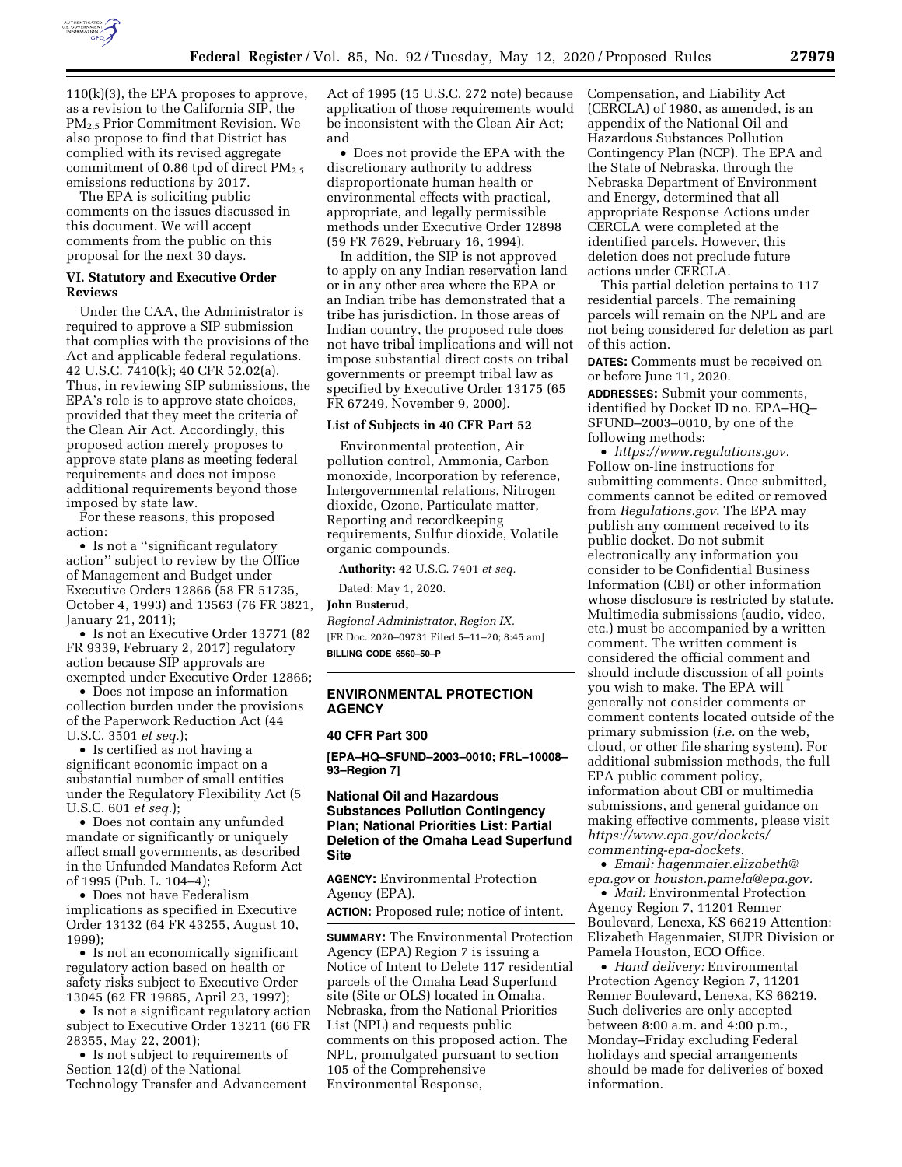

110(k)(3), the EPA proposes to approve, as a revision to the California SIP, the PM2.5 Prior Commitment Revision. We also propose to find that District has complied with its revised aggregate commitment of 0.86 tpd of direct  $PM_{2.5}$ emissions reductions by 2017.

The EPA is soliciting public comments on the issues discussed in this document. We will accept comments from the public on this proposal for the next 30 days.

# **VI. Statutory and Executive Order Reviews**

Under the CAA, the Administrator is required to approve a SIP submission that complies with the provisions of the Act and applicable federal regulations. 42 U.S.C. 7410(k); 40 CFR 52.02(a). Thus, in reviewing SIP submissions, the EPA's role is to approve state choices, provided that they meet the criteria of the Clean Air Act. Accordingly, this proposed action merely proposes to approve state plans as meeting federal requirements and does not impose additional requirements beyond those imposed by state law.

For these reasons, this proposed action:

• Is not a ''significant regulatory action'' subject to review by the Office of Management and Budget under Executive Orders 12866 (58 FR 51735, October 4, 1993) and 13563 (76 FR 3821, January 21, 2011);

• Is not an Executive Order 13771 (82 FR 9339, February 2, 2017) regulatory action because SIP approvals are exempted under Executive Order 12866;

• Does not impose an information collection burden under the provisions of the Paperwork Reduction Act (44 U.S.C. 3501 *et seq.*);

• Is certified as not having a significant economic impact on a substantial number of small entities under the Regulatory Flexibility Act (5 U.S.C. 601 *et seq.*);

• Does not contain any unfunded mandate or significantly or uniquely affect small governments, as described in the Unfunded Mandates Reform Act of 1995 (Pub. L. 104–4);

• Does not have Federalism implications as specified in Executive Order 13132 (64 FR 43255, August 10, 1999);

• Is not an economically significant regulatory action based on health or safety risks subject to Executive Order 13045 (62 FR 19885, April 23, 1997);

• Is not a significant regulatory action subject to Executive Order 13211 (66 FR 28355, May 22, 2001);

• Is not subject to requirements of Section 12(d) of the National Technology Transfer and Advancement

Act of 1995 (15 U.S.C. 272 note) because application of those requirements would be inconsistent with the Clean Air Act; and

• Does not provide the EPA with the discretionary authority to address disproportionate human health or environmental effects with practical, appropriate, and legally permissible methods under Executive Order 12898 (59 FR 7629, February 16, 1994).

In addition, the SIP is not approved to apply on any Indian reservation land or in any other area where the EPA or an Indian tribe has demonstrated that a tribe has jurisdiction. In those areas of Indian country, the proposed rule does not have tribal implications and will not impose substantial direct costs on tribal governments or preempt tribal law as specified by Executive Order 13175 (65 FR 67249, November 9, 2000).

# **List of Subjects in 40 CFR Part 52**

Environmental protection, Air pollution control, Ammonia, Carbon monoxide, Incorporation by reference, Intergovernmental relations, Nitrogen dioxide, Ozone, Particulate matter, Reporting and recordkeeping requirements, Sulfur dioxide, Volatile organic compounds.

**Authority:** 42 U.S.C. 7401 *et seq.* 

Dated: May 1, 2020.

#### **John Busterud,**

*Regional Administrator, Region IX.*  [FR Doc. 2020–09731 Filed 5–11–20; 8:45 am] **BILLING CODE 6560–50–P** 

### **ENVIRONMENTAL PROTECTION AGENCY**

# **40 CFR Part 300**

**[EPA–HQ–SFUND–2003–0010; FRL–10008– 93–Region 7]** 

# **National Oil and Hazardous Substances Pollution Contingency Plan; National Priorities List: Partial Deletion of the Omaha Lead Superfund Site**

**AGENCY:** Environmental Protection Agency (EPA).

**ACTION:** Proposed rule; notice of intent.

**SUMMARY:** The Environmental Protection Agency (EPA) Region 7 is issuing a Notice of Intent to Delete 117 residential parcels of the Omaha Lead Superfund site (Site or OLS) located in Omaha, Nebraska, from the National Priorities List (NPL) and requests public comments on this proposed action. The NPL, promulgated pursuant to section 105 of the Comprehensive Environmental Response,

Compensation, and Liability Act (CERCLA) of 1980, as amended, is an appendix of the National Oil and Hazardous Substances Pollution Contingency Plan (NCP). The EPA and the State of Nebraska, through the Nebraska Department of Environment and Energy, determined that all appropriate Response Actions under CERCLA were completed at the identified parcels. However, this deletion does not preclude future actions under CERCLA.

This partial deletion pertains to 117 residential parcels. The remaining parcels will remain on the NPL and are not being considered for deletion as part of this action.

**DATES:** Comments must be received on or before June 11, 2020.

**ADDRESSES:** Submit your comments, identified by Docket ID no. EPA–HQ– SFUND–2003–0010, by one of the following methods:

• *[https://www.regulations.gov.](https://www.regulations.gov)*  Follow on-line instructions for submitting comments. Once submitted, comments cannot be edited or removed from *Regulations.gov*. The EPA may publish any comment received to its public docket. Do not submit electronically any information you consider to be Confidential Business Information (CBI) or other information whose disclosure is restricted by statute. Multimedia submissions (audio, video, etc.) must be accompanied by a written comment. The written comment is considered the official comment and should include discussion of all points you wish to make. The EPA will generally not consider comments or comment contents located outside of the primary submission (*i.e.* on the web, cloud, or other file sharing system). For additional submission methods, the full EPA public comment policy, information about CBI or multimedia submissions, and general guidance on making effective comments, please visit *[https://www.epa.gov/dockets/](https://www.epa.gov/dockets/commenting-epa-dockets)  [commenting-epa-dockets.](https://www.epa.gov/dockets/commenting-epa-dockets)* 

• *Email: [hagenmaier.elizabeth@](mailto:hagenmaier.elizabeth@epa.gov) [epa.gov](mailto:hagenmaier.elizabeth@epa.gov)* or *[houston.pamela@epa.gov.](mailto:houston.pamela@epa.gov)* 

• *Mail:* Environmental Protection Agency Region 7, 11201 Renner Boulevard, Lenexa, KS 66219 Attention: Elizabeth Hagenmaier, SUPR Division or Pamela Houston, ECO Office.

• *Hand delivery:* Environmental Protection Agency Region 7, 11201 Renner Boulevard, Lenexa, KS 66219. Such deliveries are only accepted between 8:00 a.m. and 4:00 p.m., Monday–Friday excluding Federal holidays and special arrangements should be made for deliveries of boxed information.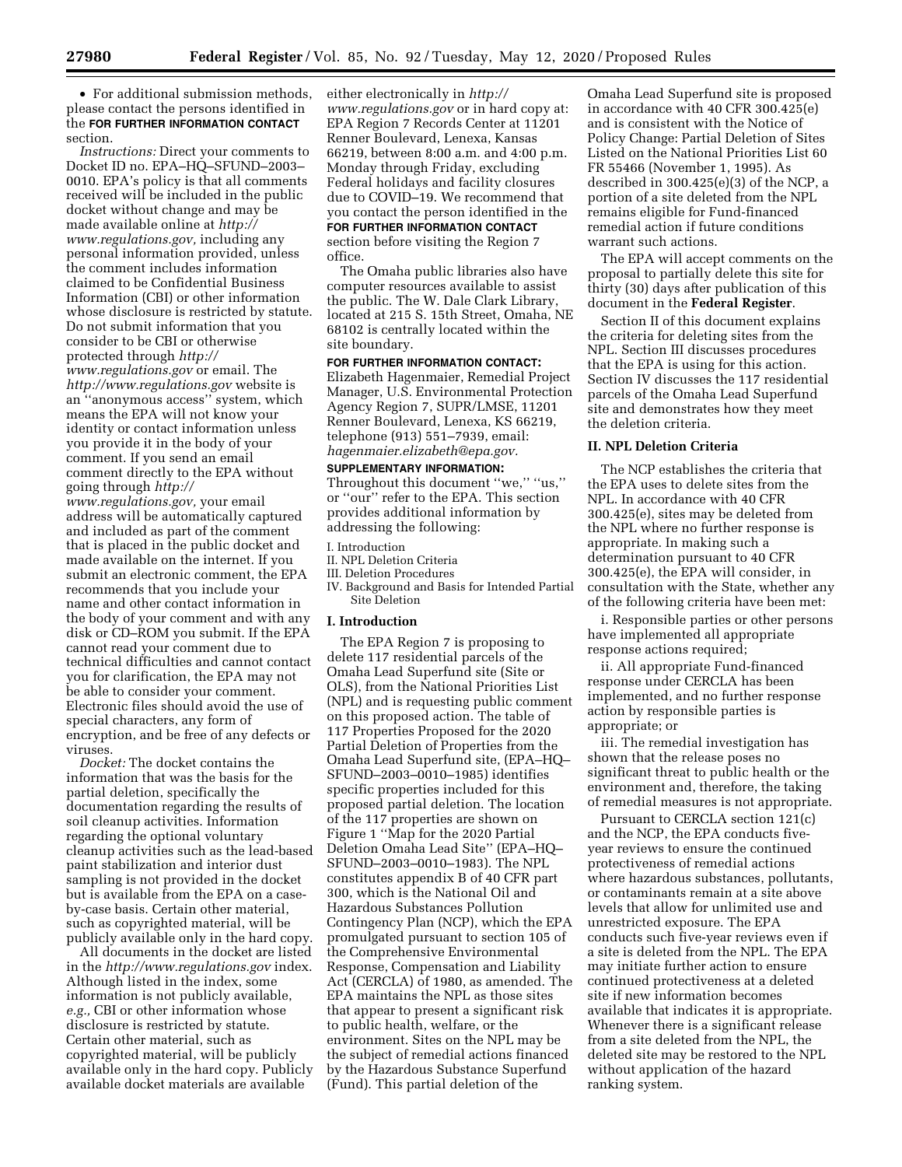• For additional submission methods, please contact the persons identified in the **FOR FURTHER INFORMATION CONTACT** section.

*Instructions:* Direct your comments to Docket ID no. EPA–HQ–SFUND–2003– 0010. EPA's policy is that all comments received will be included in the public docket without change and may be made available online at *[http://](http://www.regulations.gov) [www.regulations.gov,](http://www.regulations.gov)* including any personal information provided, unless the comment includes information claimed to be Confidential Business Information (CBI) or other information whose disclosure is restricted by statute. Do not submit information that you consider to be CBI or otherwise protected through *[http://](http://www.regulations.gov) [www.regulations.gov](http://www.regulations.gov)* or email. The *<http://www.regulations.gov>* website is an ''anonymous access'' system, which means the EPA will not know your identity or contact information unless you provide it in the body of your comment. If you send an email comment directly to the EPA without going through *[http://](http://www.regulations.gov)*

*[www.regulations.gov,](http://www.regulations.gov)* your email address will be automatically captured and included as part of the comment that is placed in the public docket and made available on the internet. If you submit an electronic comment, the EPA recommends that you include your name and other contact information in the body of your comment and with any disk or CD–ROM you submit. If the EPA cannot read your comment due to technical difficulties and cannot contact you for clarification, the EPA may not be able to consider your comment. Electronic files should avoid the use of special characters, any form of encryption, and be free of any defects or viruses.

*Docket:* The docket contains the information that was the basis for the partial deletion, specifically the documentation regarding the results of soil cleanup activities. Information regarding the optional voluntary cleanup activities such as the lead-based paint stabilization and interior dust sampling is not provided in the docket but is available from the EPA on a caseby-case basis. Certain other material, such as copyrighted material, will be publicly available only in the hard copy.

All documents in the docket are listed in the *<http://www.regulations.gov>*index. Although listed in the index, some information is not publicly available, *e.g.,* CBI or other information whose disclosure is restricted by statute. Certain other material, such as copyrighted material, will be publicly available only in the hard copy. Publicly available docket materials are available

either electronically in *[http://](http://www.regulations.gov) [www.regulations.gov](http://www.regulations.gov)* or in hard copy at: EPA Region 7 Records Center at 11201 Renner Boulevard, Lenexa, Kansas 66219, between 8:00 a.m. and 4:00 p.m. Monday through Friday, excluding Federal holidays and facility closures due to COVID–19. We recommend that you contact the person identified in the **FOR FURTHER INFORMATION CONTACT** section before visiting the Region 7

office.

The Omaha public libraries also have computer resources available to assist the public. The W. Dale Clark Library, located at 215 S. 15th Street, Omaha, NE 68102 is centrally located within the site boundary.

# **FOR FURTHER INFORMATION CONTACT:**

Elizabeth Hagenmaier, Remedial Project Manager, U.S. Environmental Protection Agency Region 7, SUPR/LMSE, 11201 Renner Boulevard, Lenexa, KS 66219, telephone (913) 551–7939, email: *[hagenmaier.elizabeth@epa.gov.](mailto:hagenmaier.elizabeth@epa.gov)* 

# **SUPPLEMENTARY INFORMATION:**

Throughout this document ''we,'' ''us,'' or ''our'' refer to the EPA. This section provides additional information by addressing the following:

#### I. Introduction

- II. NPL Deletion Criteria
- III. Deletion Procedures
- IV. Background and Basis for Intended Partial Site Deletion

# **I. Introduction**

The EPA Region 7 is proposing to delete 117 residential parcels of the Omaha Lead Superfund site (Site or OLS), from the National Priorities List (NPL) and is requesting public comment on this proposed action. The table of 117 Properties Proposed for the 2020 Partial Deletion of Properties from the Omaha Lead Superfund site, (EPA–HQ– SFUND–2003–0010–1985) identifies specific properties included for this proposed partial deletion. The location of the 117 properties are shown on Figure 1 ''Map for the 2020 Partial Deletion Omaha Lead Site'' (EPA–HQ– SFUND–2003–0010–1983). The NPL constitutes appendix B of 40 CFR part 300, which is the National Oil and Hazardous Substances Pollution Contingency Plan (NCP), which the EPA promulgated pursuant to section 105 of the Comprehensive Environmental Response, Compensation and Liability Act (CERCLA) of 1980, as amended. The EPA maintains the NPL as those sites that appear to present a significant risk to public health, welfare, or the environment. Sites on the NPL may be the subject of remedial actions financed by the Hazardous Substance Superfund (Fund). This partial deletion of the

Omaha Lead Superfund site is proposed in accordance with 40 CFR 300.425(e) and is consistent with the Notice of Policy Change: Partial Deletion of Sites Listed on the National Priorities List 60 FR 55466 (November 1, 1995). As described in 300.425(e)(3) of the NCP, a portion of a site deleted from the NPL remains eligible for Fund-financed remedial action if future conditions warrant such actions.

The EPA will accept comments on the proposal to partially delete this site for thirty (30) days after publication of this document in the **Federal Register**.

Section II of this document explains the criteria for deleting sites from the NPL. Section III discusses procedures that the EPA is using for this action. Section IV discusses the 117 residential parcels of the Omaha Lead Superfund site and demonstrates how they meet the deletion criteria.

#### **II. NPL Deletion Criteria**

The NCP establishes the criteria that the EPA uses to delete sites from the NPL. In accordance with 40 CFR 300.425(e), sites may be deleted from the NPL where no further response is appropriate. In making such a determination pursuant to 40 CFR 300.425(e), the EPA will consider, in consultation with the State, whether any of the following criteria have been met:

i. Responsible parties or other persons have implemented all appropriate response actions required;

ii. All appropriate Fund-financed response under CERCLA has been implemented, and no further response action by responsible parties is appropriate; or

iii. The remedial investigation has shown that the release poses no significant threat to public health or the environment and, therefore, the taking of remedial measures is not appropriate.

Pursuant to CERCLA section 121(c) and the NCP, the EPA conducts fiveyear reviews to ensure the continued protectiveness of remedial actions where hazardous substances, pollutants, or contaminants remain at a site above levels that allow for unlimited use and unrestricted exposure. The EPA conducts such five-year reviews even if a site is deleted from the NPL. The EPA may initiate further action to ensure continued protectiveness at a deleted site if new information becomes available that indicates it is appropriate. Whenever there is a significant release from a site deleted from the NPL, the deleted site may be restored to the NPL without application of the hazard ranking system.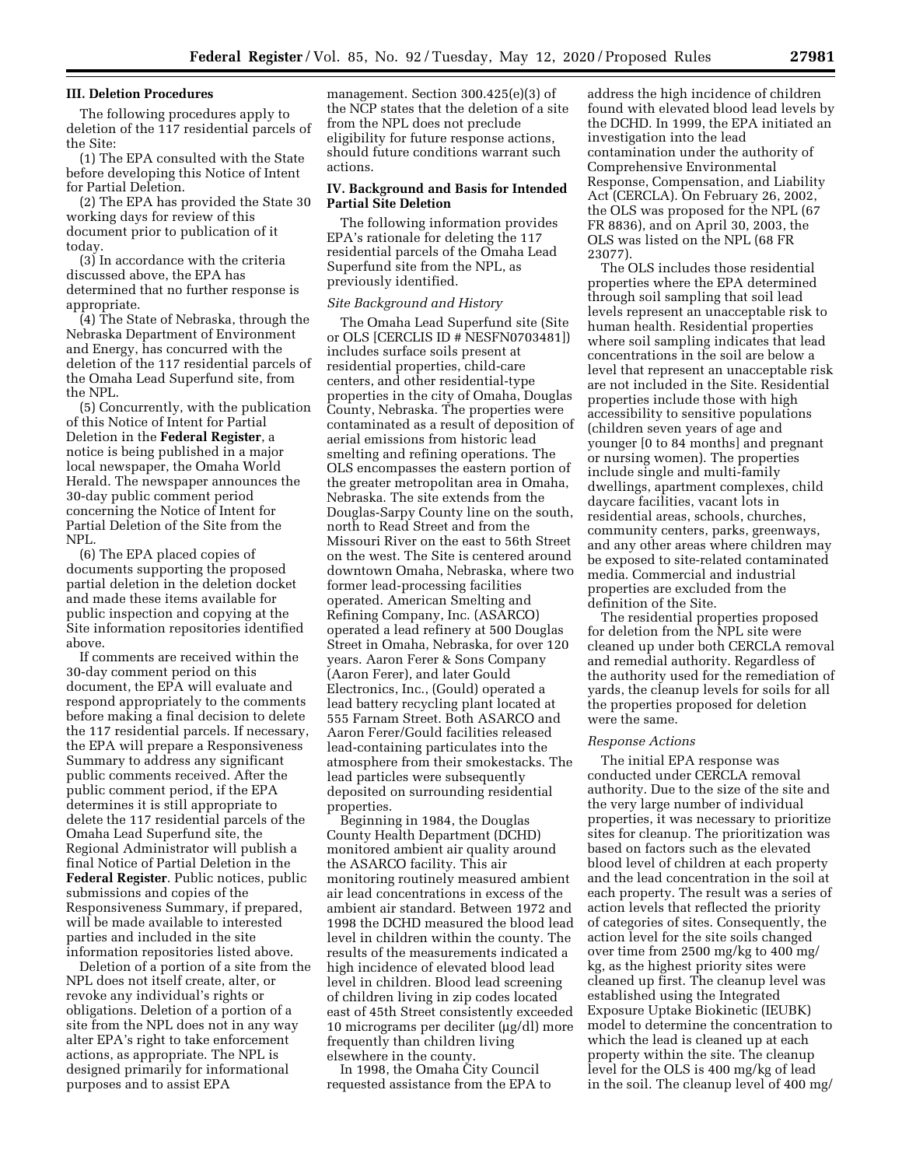### **III. Deletion Procedures**

The following procedures apply to deletion of the 117 residential parcels of the Site:

(1) The EPA consulted with the State before developing this Notice of Intent for Partial Deletion.

(2) The EPA has provided the State 30 working days for review of this document prior to publication of it today.

(3) In accordance with the criteria discussed above, the EPA has determined that no further response is appropriate.

(4) The State of Nebraska, through the Nebraska Department of Environment and Energy, has concurred with the deletion of the 117 residential parcels of the Omaha Lead Superfund site, from the NPL.

(5) Concurrently, with the publication of this Notice of Intent for Partial Deletion in the **Federal Register**, a notice is being published in a major local newspaper, the Omaha World Herald. The newspaper announces the 30-day public comment period concerning the Notice of Intent for Partial Deletion of the Site from the NPL.

(6) The EPA placed copies of documents supporting the proposed partial deletion in the deletion docket and made these items available for public inspection and copying at the Site information repositories identified above.

If comments are received within the 30-day comment period on this document, the EPA will evaluate and respond appropriately to the comments before making a final decision to delete the 117 residential parcels. If necessary, the EPA will prepare a Responsiveness Summary to address any significant public comments received. After the public comment period, if the EPA determines it is still appropriate to delete the 117 residential parcels of the Omaha Lead Superfund site, the Regional Administrator will publish a final Notice of Partial Deletion in the **Federal Register**. Public notices, public submissions and copies of the Responsiveness Summary, if prepared, will be made available to interested parties and included in the site information repositories listed above.

Deletion of a portion of a site from the NPL does not itself create, alter, or revoke any individual's rights or obligations. Deletion of a portion of a site from the NPL does not in any way alter EPA's right to take enforcement actions, as appropriate. The NPL is designed primarily for informational purposes and to assist EPA

management. Section 300.425(e)(3) of the NCP states that the deletion of a site from the NPL does not preclude eligibility for future response actions, should future conditions warrant such actions.

### **IV. Background and Basis for Intended Partial Site Deletion**

The following information provides EPA's rationale for deleting the 117 residential parcels of the Omaha Lead Superfund site from the NPL, as previously identified.

#### *Site Background and History*

The Omaha Lead Superfund site (Site or OLS [CERCLIS ID # NESFN0703481]) includes surface soils present at residential properties, child-care centers, and other residential-type properties in the city of Omaha, Douglas County, Nebraska. The properties were contaminated as a result of deposition of aerial emissions from historic lead smelting and refining operations. The OLS encompasses the eastern portion of the greater metropolitan area in Omaha, Nebraska. The site extends from the Douglas-Sarpy County line on the south, north to Read Street and from the Missouri River on the east to 56th Street on the west. The Site is centered around downtown Omaha, Nebraska, where two former lead-processing facilities operated. American Smelting and Refining Company, Inc. (ASARCO) operated a lead refinery at 500 Douglas Street in Omaha, Nebraska, for over 120 years. Aaron Ferer & Sons Company (Aaron Ferer), and later Gould Electronics, Inc., (Gould) operated a lead battery recycling plant located at 555 Farnam Street. Both ASARCO and Aaron Ferer/Gould facilities released lead-containing particulates into the atmosphere from their smokestacks. The lead particles were subsequently deposited on surrounding residential properties.

Beginning in 1984, the Douglas County Health Department (DCHD) monitored ambient air quality around the ASARCO facility. This air monitoring routinely measured ambient air lead concentrations in excess of the ambient air standard. Between 1972 and 1998 the DCHD measured the blood lead level in children within the county. The results of the measurements indicated a high incidence of elevated blood lead level in children. Blood lead screening of children living in zip codes located east of 45th Street consistently exceeded 10 micrograms per deciliter (µg/dl) more frequently than children living elsewhere in the county.

In 1998, the Omaha City Council requested assistance from the EPA to

address the high incidence of children found with elevated blood lead levels by the DCHD. In 1999, the EPA initiated an investigation into the lead contamination under the authority of Comprehensive Environmental Response, Compensation, and Liability Act (CERCLA). On February 26, 2002, the OLS was proposed for the NPL (67 FR 8836), and on April 30, 2003, the OLS was listed on the NPL (68 FR 23077).

The OLS includes those residential properties where the EPA determined through soil sampling that soil lead levels represent an unacceptable risk to human health. Residential properties where soil sampling indicates that lead concentrations in the soil are below a level that represent an unacceptable risk are not included in the Site. Residential properties include those with high accessibility to sensitive populations (children seven years of age and younger [0 to 84 months] and pregnant or nursing women). The properties include single and multi-family dwellings, apartment complexes, child daycare facilities, vacant lots in residential areas, schools, churches, community centers, parks, greenways, and any other areas where children may be exposed to site-related contaminated media. Commercial and industrial properties are excluded from the definition of the Site.

The residential properties proposed for deletion from the NPL site were cleaned up under both CERCLA removal and remedial authority. Regardless of the authority used for the remediation of yards, the cleanup levels for soils for all the properties proposed for deletion were the same.

#### *Response Actions*

The initial EPA response was conducted under CERCLA removal authority. Due to the size of the site and the very large number of individual properties, it was necessary to prioritize sites for cleanup. The prioritization was based on factors such as the elevated blood level of children at each property and the lead concentration in the soil at each property. The result was a series of action levels that reflected the priority of categories of sites. Consequently, the action level for the site soils changed over time from 2500 mg/kg to 400 mg/ kg, as the highest priority sites were cleaned up first. The cleanup level was established using the Integrated Exposure Uptake Biokinetic (IEUBK) model to determine the concentration to which the lead is cleaned up at each property within the site. The cleanup level for the OLS is 400 mg/kg of lead in the soil. The cleanup level of 400 mg/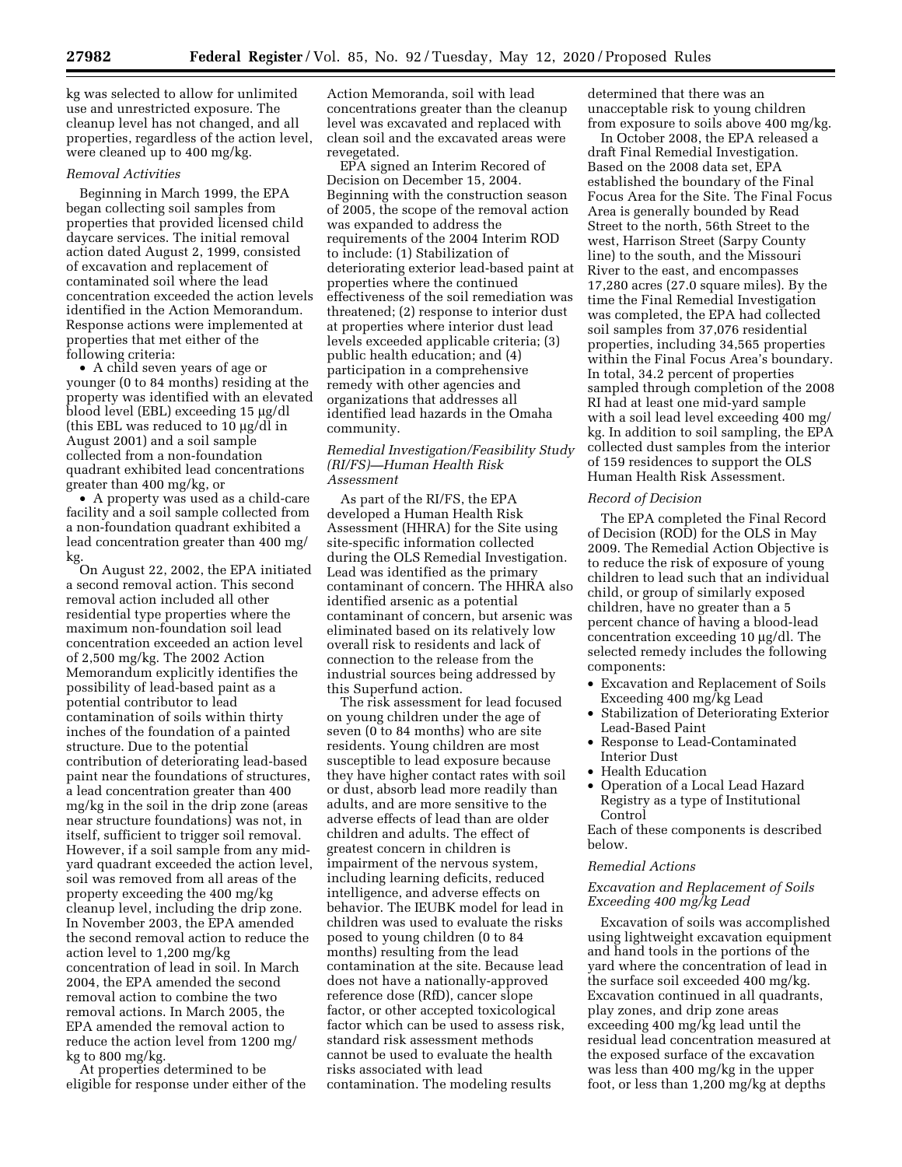kg was selected to allow for unlimited use and unrestricted exposure. The cleanup level has not changed, and all properties, regardless of the action level, were cleaned up to 400 mg/kg.

#### *Removal Activities*

Beginning in March 1999, the EPA began collecting soil samples from properties that provided licensed child daycare services. The initial removal action dated August 2, 1999, consisted of excavation and replacement of contaminated soil where the lead concentration exceeded the action levels identified in the Action Memorandum. Response actions were implemented at properties that met either of the following criteria:

• A child seven years of age or younger (0 to 84 months) residing at the property was identified with an elevated blood level (EBL) exceeding 15 µg/dl (this EBL was reduced to 10  $\mu$ g/dl in August 2001) and a soil sample collected from a non-foundation quadrant exhibited lead concentrations greater than 400 mg/kg, or

• A property was used as a child-care facility and a soil sample collected from a non-foundation quadrant exhibited a lead concentration greater than 400 mg/ kg.

On August 22, 2002, the EPA initiated a second removal action. This second removal action included all other residential type properties where the maximum non-foundation soil lead concentration exceeded an action level of 2,500 mg/kg. The 2002 Action Memorandum explicitly identifies the possibility of lead-based paint as a potential contributor to lead contamination of soils within thirty inches of the foundation of a painted structure. Due to the potential contribution of deteriorating lead-based paint near the foundations of structures, a lead concentration greater than 400 mg/kg in the soil in the drip zone (areas near structure foundations) was not, in itself, sufficient to trigger soil removal. However, if a soil sample from any midyard quadrant exceeded the action level, soil was removed from all areas of the property exceeding the 400 mg/kg cleanup level, including the drip zone. In November 2003, the EPA amended the second removal action to reduce the action level to 1,200 mg/kg concentration of lead in soil. In March 2004, the EPA amended the second removal action to combine the two removal actions. In March 2005, the EPA amended the removal action to reduce the action level from 1200 mg/ kg to 800 mg/kg.

At properties determined to be eligible for response under either of the

Action Memoranda, soil with lead concentrations greater than the cleanup level was excavated and replaced with clean soil and the excavated areas were revegetated.

EPA signed an Interim Recored of Decision on December 15, 2004. Beginning with the construction season of 2005, the scope of the removal action was expanded to address the requirements of the 2004 Interim ROD to include: (1) Stabilization of deteriorating exterior lead-based paint at properties where the continued effectiveness of the soil remediation was threatened; (2) response to interior dust at properties where interior dust lead levels exceeded applicable criteria; (3) public health education; and (4) participation in a comprehensive remedy with other agencies and organizations that addresses all identified lead hazards in the Omaha community.

# *Remedial Investigation/Feasibility Study (RI/FS)—Human Health Risk Assessment*

As part of the RI/FS, the EPA developed a Human Health Risk Assessment (HHRA) for the Site using site-specific information collected during the OLS Remedial Investigation. Lead was identified as the primary contaminant of concern. The HHRA also identified arsenic as a potential contaminant of concern, but arsenic was eliminated based on its relatively low overall risk to residents and lack of connection to the release from the industrial sources being addressed by this Superfund action.

The risk assessment for lead focused on young children under the age of seven (0 to 84 months) who are site residents. Young children are most susceptible to lead exposure because they have higher contact rates with soil or dust, absorb lead more readily than adults, and are more sensitive to the adverse effects of lead than are older children and adults. The effect of greatest concern in children is impairment of the nervous system, including learning deficits, reduced intelligence, and adverse effects on behavior. The IEUBK model for lead in children was used to evaluate the risks posed to young children (0 to 84 months) resulting from the lead contamination at the site. Because lead does not have a nationally-approved reference dose (RfD), cancer slope factor, or other accepted toxicological factor which can be used to assess risk, standard risk assessment methods cannot be used to evaluate the health risks associated with lead contamination. The modeling results

determined that there was an unacceptable risk to young children from exposure to soils above 400 mg/kg.

In October 2008, the EPA released a draft Final Remedial Investigation. Based on the 2008 data set, EPA established the boundary of the Final Focus Area for the Site. The Final Focus Area is generally bounded by Read Street to the north, 56th Street to the west, Harrison Street (Sarpy County line) to the south, and the Missouri River to the east, and encompasses 17,280 acres (27.0 square miles). By the time the Final Remedial Investigation was completed, the EPA had collected soil samples from 37,076 residential properties, including 34,565 properties within the Final Focus Area's boundary. In total, 34.2 percent of properties sampled through completion of the 2008 RI had at least one mid-yard sample with a soil lead level exceeding 400 mg/ kg. In addition to soil sampling, the EPA collected dust samples from the interior of 159 residences to support the OLS Human Health Risk Assessment.

### *Record of Decision*

The EPA completed the Final Record of Decision (ROD) for the OLS in May 2009. The Remedial Action Objective is to reduce the risk of exposure of young children to lead such that an individual child, or group of similarly exposed children, have no greater than a 5 percent chance of having a blood-lead concentration exceeding  $10 \mu g/dl$ . The selected remedy includes the following components:

- Excavation and Replacement of Soils Exceeding 400 mg/kg Lead
- Stabilization of Deteriorating Exterior Lead-Based Paint
- Response to Lead-Contaminated Interior Dust
- Health Education
- Operation of a Local Lead Hazard Registry as a type of Institutional Control

Each of these components is described below.

#### *Remedial Actions*

### *Excavation and Replacement of Soils Exceeding 400 mg/kg Lead*

Excavation of soils was accomplished using lightweight excavation equipment and hand tools in the portions of the yard where the concentration of lead in the surface soil exceeded 400 mg/kg. Excavation continued in all quadrants, play zones, and drip zone areas exceeding 400 mg/kg lead until the residual lead concentration measured at the exposed surface of the excavation was less than 400 mg/kg in the upper foot, or less than 1,200 mg/kg at depths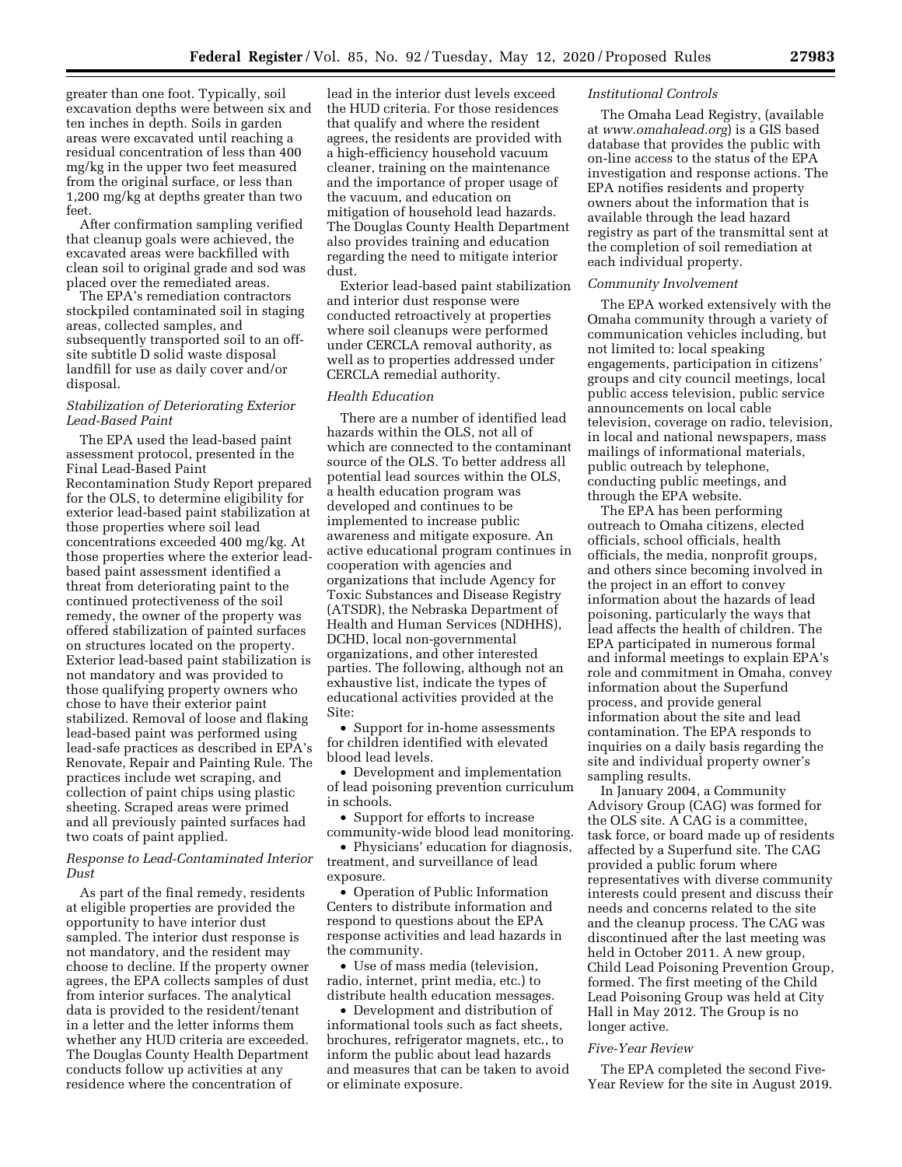greater than one foot. Typically, soil excavation depths were between six and ten inches in depth. Soils in garden areas were excavated until reaching a residual concentration of less than 400 mg/kg in the upper two feet measured from the original surface, or less than 1,200 mg/kg at depths greater than two feet.

After confirmation sampling verified that cleanup goals were achieved, the excavated areas were backfilled with clean soil to original grade and sod was placed over the remediated areas.

The EPA's remediation contractors stockpiled contaminated soil in staging areas, collected samples, and subsequently transported soil to an offsite subtitle D solid waste disposal landfill for use as daily cover and/or disposal.

# *Stabilization of Deteriorating Exterior Lead-Based Paint*

The EPA used the lead-based paint assessment protocol, presented in the Final Lead-Based Paint Recontamination Study Report prepared for the OLS, to determine eligibility for exterior lead-based paint stabilization at those properties where soil lead concentrations exceeded 400 mg/kg. At those properties where the exterior leadbased paint assessment identified a threat from deteriorating paint to the continued protectiveness of the soil remedy, the owner of the property was offered stabilization of painted surfaces on structures located on the property. Exterior lead-based paint stabilization is not mandatory and was provided to those qualifying property owners who chose to have their exterior paint stabilized. Removal of loose and flaking lead-based paint was performed using lead-safe practices as described in EPA's Renovate, Repair and Painting Rule. The practices include wet scraping, and collection of paint chips using plastic sheeting. Scraped areas were primed and all previously painted surfaces had two coats of paint applied.

# *Response to Lead-Contaminated Interior Dust*

As part of the final remedy, residents at eligible properties are provided the opportunity to have interior dust sampled. The interior dust response is not mandatory, and the resident may choose to decline. If the property owner agrees, the EPA collects samples of dust from interior surfaces. The analytical data is provided to the resident/tenant in a letter and the letter informs them whether any HUD criteria are exceeded. The Douglas County Health Department conducts follow up activities at any residence where the concentration of

lead in the interior dust levels exceed the HUD criteria. For those residences that qualify and where the resident agrees, the residents are provided with a high-efficiency household vacuum cleaner, training on the maintenance and the importance of proper usage of the vacuum, and education on mitigation of household lead hazards. The Douglas County Health Department also provides training and education regarding the need to mitigate interior dust.

Exterior lead-based paint stabilization and interior dust response were conducted retroactively at properties where soil cleanups were performed under CERCLA removal authority, as well as to properties addressed under CERCLA remedial authority.

# *Health Education*

There are a number of identified lead hazards within the OLS, not all of which are connected to the contaminant source of the OLS. To better address all potential lead sources within the OLS, a health education program was developed and continues to be implemented to increase public awareness and mitigate exposure. An active educational program continues in cooperation with agencies and organizations that include Agency for Toxic Substances and Disease Registry (ATSDR), the Nebraska Department of Health and Human Services (NDHHS), DCHD, local non-governmental organizations, and other interested parties. The following, although not an exhaustive list, indicate the types of educational activities provided at the Site:

• Support for in-home assessments for children identified with elevated blood lead levels.

• Development and implementation of lead poisoning prevention curriculum in schools.

• Support for efforts to increase community-wide blood lead monitoring.

• Physicians' education for diagnosis, treatment, and surveillance of lead exposure.

• Operation of Public Information Centers to distribute information and respond to questions about the EPA response activities and lead hazards in the community.

• Use of mass media (television, radio, internet, print media, etc.) to distribute health education messages.

• Development and distribution of informational tools such as fact sheets, brochures, refrigerator magnets, etc., to inform the public about lead hazards and measures that can be taken to avoid or eliminate exposure.

#### *Institutional Controls*

The Omaha Lead Registry, (available at *[www.omahalead.org](http://www.omahalead.org)*) is a GIS based database that provides the public with on-line access to the status of the EPA investigation and response actions. The EPA notifies residents and property owners about the information that is available through the lead hazard registry as part of the transmittal sent at the completion of soil remediation at each individual property.

### *Community Involvement*

The EPA worked extensively with the Omaha community through a variety of communication vehicles including, but not limited to: local speaking engagements, participation in citizens' groups and city council meetings, local public access television, public service announcements on local cable television, coverage on radio, television, in local and national newspapers, mass mailings of informational materials, public outreach by telephone, conducting public meetings, and through the EPA website.

The EPA has been performing outreach to Omaha citizens, elected officials, school officials, health officials, the media, nonprofit groups, and others since becoming involved in the project in an effort to convey information about the hazards of lead poisoning, particularly the ways that lead affects the health of children. The EPA participated in numerous formal and informal meetings to explain EPA's role and commitment in Omaha, convey information about the Superfund process, and provide general information about the site and lead contamination. The EPA responds to inquiries on a daily basis regarding the site and individual property owner's sampling results.

In January 2004, a Community Advisory Group (CAG) was formed for the OLS site. A CAG is a committee, task force, or board made up of residents affected by a Superfund site. The CAG provided a public forum where representatives with diverse community interests could present and discuss their needs and concerns related to the site and the cleanup process. The CAG was discontinued after the last meeting was held in October 2011. A new group, Child Lead Poisoning Prevention Group, formed. The first meeting of the Child Lead Poisoning Group was held at City Hall in May 2012. The Group is no longer active.

#### *Five-Year Review*

The EPA completed the second Five-Year Review for the site in August 2019.